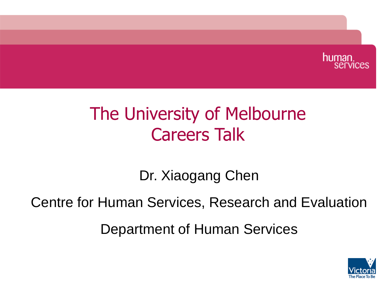

## The University of Melbourne Careers Talk

Dr. Xiaogang Chen

Centre for Human Services, Research and Evaluation

Department of Human Services

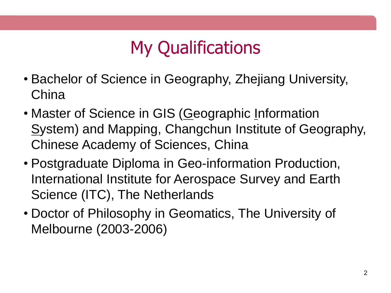# My Qualifications

- Bachelor of Science in Geography, Zhejiang University, China
- Master of Science in GIS (Geographic Information System) and Mapping, Changchun Institute of Geography, Chinese Academy of Sciences, China
- Postgraduate Diploma in Geo-information Production, International Institute for Aerospace Survey and Earth Science (ITC), The Netherlands
- Doctor of Philosophy in Geomatics, The University of Melbourne (2003-2006)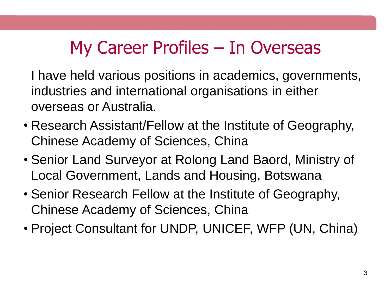## My Career Profiles – In Overseas

I have held various positions in academics, governments, industries and international organisations in either overseas or Australia.

- Research Assistant/Fellow at the Institute of Geography, Chinese Academy of Sciences, China
- Senior Land Surveyor at Rolong Land Baord, Ministry of Local Government, Lands and Housing, Botswana
- Senior Research Fellow at the Institute of Geography, Chinese Academy of Sciences, China
- Project Consultant for UNDP, UNICEF, WFP (UN, China)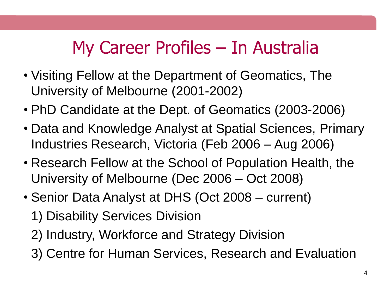## My Career Profiles – In Australia

- Visiting Fellow at the Department of Geomatics, The University of Melbourne (2001-2002)
- PhD Candidate at the Dept. of Geomatics (2003-2006)
- Data and Knowledge Analyst at Spatial Sciences, Primary Industries Research, Victoria (Feb 2006 – Aug 2006)
- Research Fellow at the School of Population Health, the University of Melbourne (Dec 2006 – Oct 2008)
- Senior Data Analyst at DHS (Oct 2008 current) 1) Disability Services Division
	- 2) Industry, Workforce and Strategy Division
	- 3) Centre for Human Services, Research and Evaluation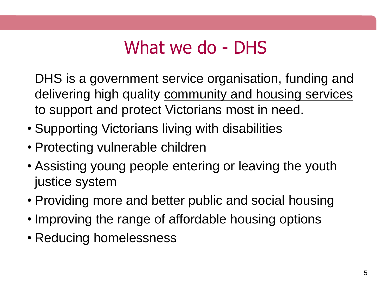### What we do - DHS

DHS is a government service organisation, funding and delivering high quality community and housing services to support and protect Victorians most in need.

- Supporting Victorians living with disabilities
- Protecting vulnerable children
- Assisting young people entering or leaving the youth justice system
- Providing more and better public and social housing
- Improving the range of affordable housing options
- Reducing homelessness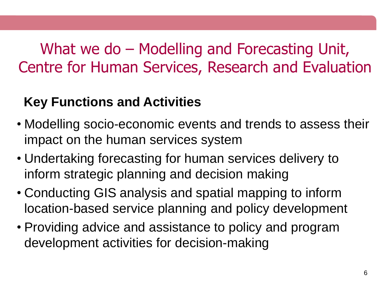#### What we do – Modelling and Forecasting Unit, Centre for Human Services, Research and Evaluation

#### **Key Functions and Activities**

- Modelling socio-economic events and trends to assess their impact on the human services system
- Undertaking forecasting for human services delivery to inform strategic planning and decision making
- Conducting GIS analysis and spatial mapping to inform location-based service planning and policy development
- Providing advice and assistance to policy and program development activities for decision-making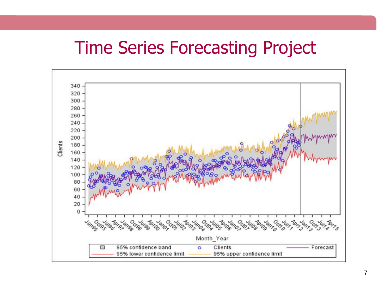#### Time Series Forecasting Project

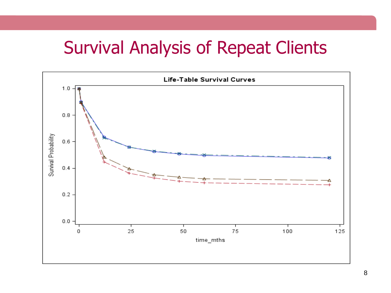#### Survival Analysis of Repeat Clients

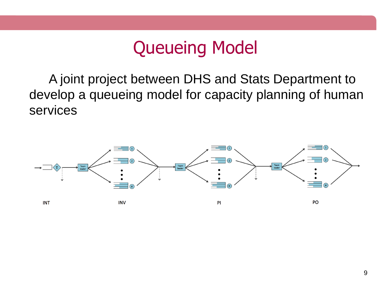#### Queueing Model

A joint project between DHS and Stats Department to develop a queueing model for capacity planning of human services

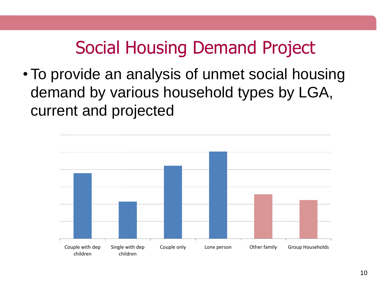### Social Housing Demand Project

•To provide an analysis of unmet social housing demand by various household types by LGA, current and projected

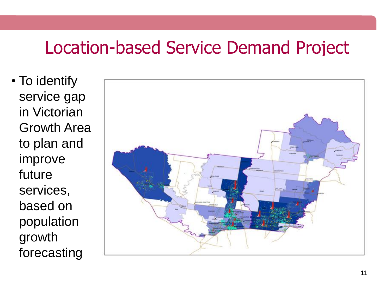#### Location-based Service Demand Project

• To identify service gap in Victorian Growth Area to plan and improve future services, based on population growth forecasting

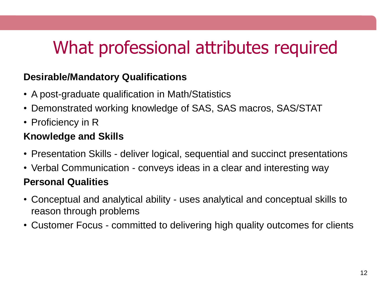## What professional attributes required

#### **Desirable/Mandatory Qualifications**

- A post-graduate qualification in Math/Statistics
- Demonstrated working knowledge of SAS, SAS macros, SAS/STAT
- Proficiency in R

#### **Knowledge and Skills**

- Presentation Skills deliver logical, sequential and succinct presentations
- Verbal Communication conveys ideas in a clear and interesting way

#### **Personal Qualities**

- Conceptual and analytical ability uses analytical and conceptual skills to reason through problems
- Customer Focus committed to delivering high quality outcomes for clients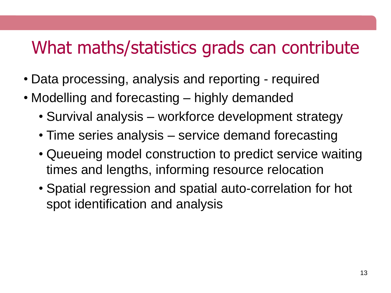#### What maths/statistics grads can contribute

- Data processing, analysis and reporting required
- Modelling and forecasting highly demanded
	- Survival analysis workforce development strategy
	- Time series analysis service demand forecasting
	- Queueing model construction to predict service waiting times and lengths, informing resource relocation
	- Spatial regression and spatial auto-correlation for hot spot identification and analysis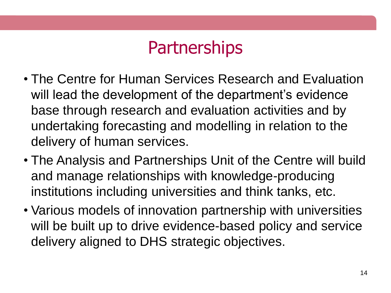## **Partnerships**

- The Centre for Human Services Research and Evaluation will lead the development of the department's evidence base through research and evaluation activities and by undertaking forecasting and modelling in relation to the delivery of human services.
- The Analysis and Partnerships Unit of the Centre will build and manage relationships with knowledge-producing institutions including universities and think tanks, etc.
- Various models of innovation partnership with universities will be built up to drive evidence-based policy and service delivery aligned to DHS strategic objectives.